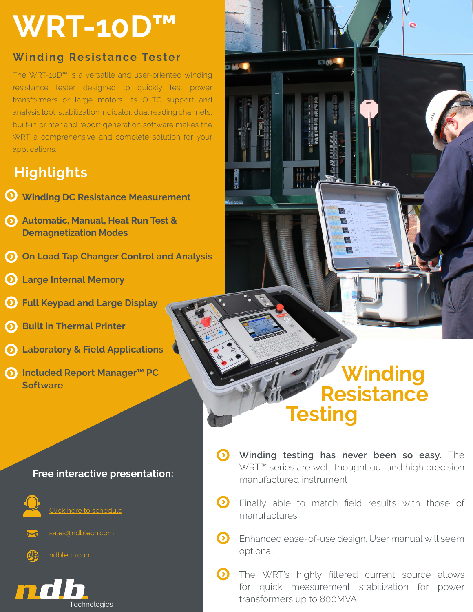# **WRT-10D™**

### **Winding Resistance Tester**

The WRT-10D™ is a versatile and user-oriented winding resistance tester designed to quickly test power transformers or large motors. Its OLTC support and analysis tool, stabilization indicator, dual reading channels, built-in printer and report generation software makes the WRT a comprehensive and complete solution for your applications.

## **Highlights**

- **Winding DC Resistance Measurement**
- **Automatic, Manual, Heat Run Test & Demagnetization Modes**
- **On Load Tap Changer Control and Analysis**
- **Large Internal Memory**
- **Full Keypad and Large Display**
- **Built in Thermal Printer**
- **Laboratory & Field Applications**
- **Included Report Manager™ PC Software**

### **Free interactive presentation:**



[Click here to schedule](https://outlook.office365.com/owa/calendar/ndbTechnologies@ndbtech.com/bookings/)

sales@ndbtech.com



Technologies

# **Winding Resistance Testing**

ö

**CYNOLOGICA** 

- **Winding testing has never been so easy.** The WRT™ series are well-thought out and high precision manufactured instrument
- $\Omega$ Finally able to match field results with those of manufactures
- **Enhanced ease-of-use design. User manual will seem** optional
- The WRT's highly filtered current source allows for quick measurement stabilization for power transformers up to 800MVA